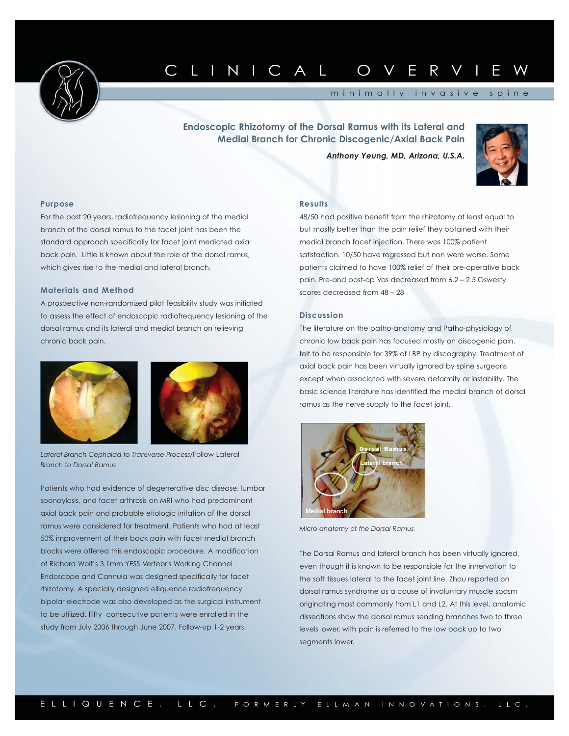# CLINICAL OVERVIEW



**Endoscopic Rhizotomy of the Dorsal Ramus with its Lateral and Medial Branch for Chronic Discogenic/Axial Back Pain**

*Anthony Yeung, MD, Arizona, U.S.A.*



#### **Purpose**

For the past 20 years, radiofrequency lesioning of the medial branch of the dorsal ramus to the facet joint has been the standard approach specifically for facet joint mediated axial back pain. Little is known about the role of the dorsal ramus, which gives rise to the medial and lateral branch.

## **Materials and Method**

A prospective non-randomized pilot feasibility study was initiated to assess the effect of endoscopic radiofrequency lesioning of the dorsal ramus and its lateral and medial branch on relieving chronic back pain.



*Lateral Branch Cephalad to Transverse Process/*Follow Lateral *Branch to Dorsal Ramus*

Patients who had evidence of degenerative disc disease, lumbar spondylosis, and facet arthrosis on MRI who had predominant axial back pain and probable etiologic irritation of the dorsal ramus were considered for treatment. Patients who had at least 50% improvement of their back pain with facet medial branch blocks were offered this endoscopic procedure. A modification of Richard Wolf's 3.1mm YESS Vertebris Working Channel Endoscope and Cannula was designed specifically for facet rhizotomy. A specially designed elliquence radiofrequency bipolar electrode was also developed as the surgical instrument to be utilized. Fifty consecutive patients were enrolled in the study from July 2006 through June 2007. Follow-up 1-2 years.

#### **Results**

48/50 had positive benefit from the rhizotomy at least equal to but mostly better than the pain relief they obtained with their medial branch facet injection. There was 100% patient satisfaction. 10/50 have regressed but non were worse. Some patients claimed to have 100% relief of their pre-operative back pain. Pre-and post-op Vas decreased from 6.2 – 2.5 Oswesty scores decreased from 48 – 28

#### **Discussion**

The literature on the patho-anatomy and Patho-physiology of chronic low back pain has focused mostly on discogenic pain, felt to be responsible for 39% of LBP by discography. Treatment of axial back pain has been virtually ignored by spine surgeons except when associated with severe deformity or instability. The basic science literature has identified the medial branch of dorsal ramus as the nerve supply to the facet joint.



*Micro anatomy of the Dorsal Ramus*

The Dorsal Ramus and lateral branch has been virtually ignored, even though it is known to be responsible for the innervation to the soft tissues lateral to the facet joint line. Zhou reported on dorsal ramus syndrome as a cause of involuntary muscle spasm originating most commonly from L1 and L2. At this level, anatomic dissections show the dorsal ramus sending branches two to three levels lower, with pain is referred to the low back up to two segments lower.